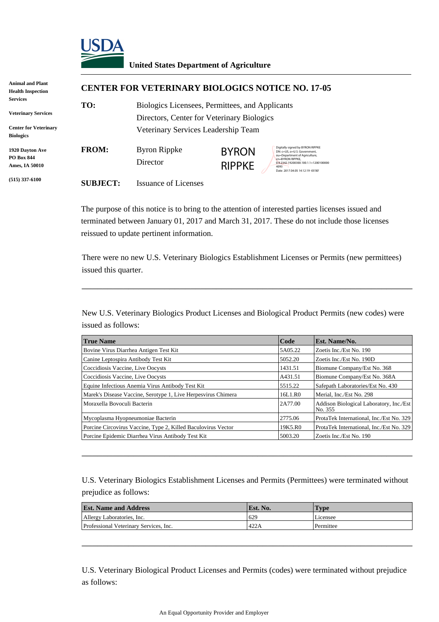

### **United States Department of Agriculture**

| Animal and Plant<br><b>Health Inspection</b>                                               |                 | <b>CENTER FOR VETERINARY BIOLOGICS NOTICE NO. 17-05</b>                                                                              |                               |                                                                                                                                                                                                            |  |
|--------------------------------------------------------------------------------------------|-----------------|--------------------------------------------------------------------------------------------------------------------------------------|-------------------------------|------------------------------------------------------------------------------------------------------------------------------------------------------------------------------------------------------------|--|
| Services<br><b>Veterinary Services</b><br><b>Center for Veterinary</b><br><b>Biologics</b> | TO:             | Biologics Licensees, Permittees, and Applicants<br>Directors, Center for Veterinary Biologics<br>Veterinary Services Leadership Team |                               |                                                                                                                                                                                                            |  |
| 1920 Davton Ave<br>PO Box 844<br>Ames, IA 50010                                            | <b>FROM:</b>    | Byron Rippke<br>Director                                                                                                             | <b>BYRON</b><br><b>RIPPKE</b> | Digitally signed by BYRON RIPPKE<br>DN: c=US, o=U.S. Government,<br>ou=Department of Agriculture,<br>cn=BYRON RIPPKE.<br>0.9.2342.19200300.100.1.1=1200100000<br>4093<br>Date: 2017.04.05 14:12:19 -05'00' |  |
| $(515)$ 337-6100                                                                           | <b>SUBJECT:</b> | <b>Issuance of Licenses</b>                                                                                                          |                               |                                                                                                                                                                                                            |  |

The purpose of this notice is to bring to the attention of interested parties licenses issued and terminated between January 01, 2017 and March 31, 2017. These do not include those licenses reissued to update pertinent information.

There were no new U.S. Veterinary Biologics Establishment Licenses or Permits (new permittees) issued this quarter.

\_\_\_\_\_\_\_\_\_\_\_\_\_\_\_\_\_\_\_\_\_\_\_\_\_\_\_\_\_\_\_\_\_\_\_\_\_\_\_\_\_\_\_\_\_\_\_\_\_\_\_\_\_\_\_\_\_\_\_\_\_\_\_\_

New U.S. Veterinary Biologics Product Licenses and Biological Product Permits (new codes) were issued as follows:

| <b>True Name</b>                                              | Code    | <b>Est. Name/No.</b>                               |
|---------------------------------------------------------------|---------|----------------------------------------------------|
| Bovine Virus Diarrhea Antigen Test Kit                        | 5A05.22 | Zoetis Inc./Est No. 190                            |
| Canine Leptospira Antibody Test Kit                           | 5052.20 | Zoetis Inc./Est No. 190D                           |
| Coccidiosis Vaccine, Live Oocysts                             | 1431.51 | Biomune Company/Est No. 368                        |
| Coccidiosis Vaccine, Live Oocysts                             | A431.51 | Biomune Company/Est No. 368A                       |
| Equine Infectious Anemia Virus Antibody Test Kit              | 5515.22 | Safepath Laboratories/Est No. 430                  |
| Marek's Disease Vaccine, Serotype 1, Live Herpesvirus Chimera | 16L1.R0 | Merial, Inc./Est No. 298                           |
| Moraxella Bovoculi Bacterin                                   | 2A77.00 | Addison Biological Laboratory, Inc./Est<br>No. 355 |
| Mycoplasma Hyopneumoniae Bacterin                             | 2775.06 | ProtaTek International, Inc./Est No. 329           |
| Porcine Circovirus Vaccine, Type 2, Killed Baculovirus Vector | 19K5.R0 | ProtaTek International, Inc./Est No. 329           |
| Porcine Epidemic Diarrhea Virus Antibody Test Kit             | 5003.20 | Zoetis Inc./Est No. 190                            |

U.S. Veterinary Biologics Establishment Licenses and Permits (Permittees) were terminated without prejudice as follows:

\_\_\_\_\_\_\_\_\_\_\_\_\_\_\_\_\_\_\_\_\_\_\_\_\_\_\_\_\_\_\_\_\_\_\_\_\_\_\_\_\_\_\_\_\_\_\_\_\_\_\_\_\_\_\_\_\_\_\_\_\_\_\_\_

| <b>Est. Name and Address</b>           | <b>IEst.</b> No. | Type      |
|----------------------------------------|------------------|-----------|
| Allergy Laboratories, Inc.             | 629              | Licensee  |
| Professional Veterinary Services, Inc. | 422A             | Permittee |

\_\_\_\_\_\_\_\_\_\_\_\_\_\_\_\_\_\_\_\_\_\_\_\_\_\_\_\_\_\_\_\_\_\_\_\_\_\_\_\_\_\_\_\_\_\_\_\_\_\_\_\_\_\_\_\_\_\_\_\_\_\_\_\_

U.S. Veterinary Biological Product Licenses and Permits (codes) were terminated without prejudice as follows: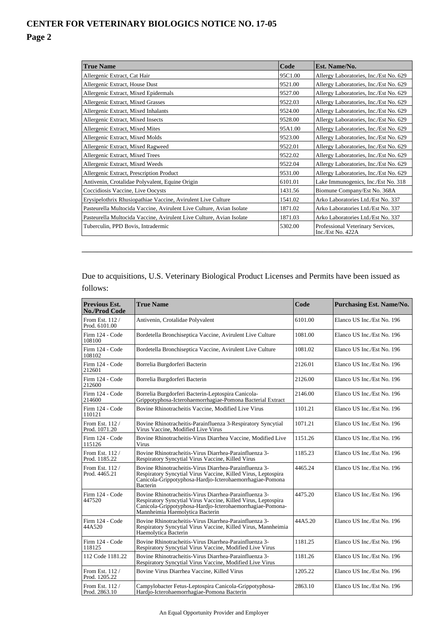| <b>True Name</b>                                                     | Code    | <b>Est. Name/No.</b>                                   |
|----------------------------------------------------------------------|---------|--------------------------------------------------------|
| Allergenic Extract, Cat Hair                                         | 95C1.00 | Allergy Laboratories, Inc./Est No. 629                 |
| Allergenic Extract, House Dust                                       | 9521.00 | Allergy Laboratories, Inc./Est No. 629                 |
| Allergenic Extract, Mixed Epidermals                                 | 9527.00 | Allergy Laboratories, Inc./Est No. 629                 |
| Allergenic Extract, Mixed Grasses                                    | 9522.03 | Allergy Laboratories, Inc./Est No. 629                 |
| Allergenic Extract, Mixed Inhalants                                  | 9524.00 | Allergy Laboratories, Inc./Est No. 629                 |
| Allergenic Extract, Mixed Insects                                    | 9528.00 | Allergy Laboratories, Inc./Est No. 629                 |
| Allergenic Extract, Mixed Mites                                      | 95A1.00 | Allergy Laboratories, Inc./Est No. 629                 |
| Allergenic Extract, Mixed Molds                                      | 9523.00 | Allergy Laboratories, Inc./Est No. 629                 |
| Allergenic Extract, Mixed Ragweed                                    | 9522.01 | Allergy Laboratories, Inc./Est No. 629                 |
| Allergenic Extract, Mixed Trees                                      | 9522.02 | Allergy Laboratories, Inc./Est No. 629                 |
| Allergenic Extract, Mixed Weeds                                      | 9522.04 | Allergy Laboratories, Inc./Est No. 629                 |
| Allergenic Extract, Prescription Product                             | 9531.00 | Allergy Laboratories, Inc./Est No. 629                 |
| Antivenin, Crotalidae Polyvalent, Equine Origin                      | 6101.01 | Lake Immunogenics, Inc./Est No. 318                    |
| Coccidiosis Vaccine, Live Oocysts                                    | 1431.56 | Biomune Company/Est No. 368A                           |
| Erysipelothrix Rhusiopathiae Vaccine, Avirulent Live Culture         | 1541.02 | Arko Laboratories Ltd./Est No. 337                     |
| Pasteurella Multocida Vaccine, Avirulent Live Culture, Avian Isolate | 1871.02 | Arko Laboratories Ltd./Est No. 337                     |
| Pasteurella Multocida Vaccine, Avirulent Live Culture, Avian Isolate | 1871.03 | Arko Laboratories Ltd./Est No. 337                     |
| Tuberculin, PPD Bovis, Intradermic                                   | 5302.00 | Professional Veterinary Services,<br>Inc./Est No. 422A |

Due to acquisitions, U.S. Veterinary Biological Product Licenses and Permits have been issued as follows:

\_\_\_\_\_\_\_\_\_\_\_\_\_\_\_\_\_\_\_\_\_\_\_\_\_\_\_\_\_\_\_\_\_\_\_\_\_\_\_\_\_\_\_\_\_\_\_\_\_\_\_\_\_\_\_\_\_\_\_\_\_\_\_\_

| <b>Previous Est.</b><br><b>No./Prod Code</b> | <b>True Name</b>                                                                                                                                                                                                        | Code    | <b>Purchasing Est. Name/No.</b> |
|----------------------------------------------|-------------------------------------------------------------------------------------------------------------------------------------------------------------------------------------------------------------------------|---------|---------------------------------|
| From Est. 112/<br>Prod. 6101.00              | Antivenin, Crotalidae Polyvalent                                                                                                                                                                                        | 6101.00 | Elanco US Inc./Est No. 196      |
| Firm 124 - Code<br>108100                    | Bordetella Bronchiseptica Vaccine, Avirulent Live Culture                                                                                                                                                               | 1081.00 | Elanco US Inc./Est No. 196      |
| Firm 124 - Code<br>108102                    | Bordetella Bronchiseptica Vaccine, Avirulent Live Culture                                                                                                                                                               | 1081.02 | Elanco US Inc./Est No. 196      |
| Firm 124 - Code<br>212601                    | Borrelia Burgdorferi Bacterin                                                                                                                                                                                           | 2126.01 | Elanco US Inc./Est No. 196      |
| Firm 124 - Code<br>212600                    | Borrelia Burgdorferi Bacterin                                                                                                                                                                                           | 2126.00 | Elanco US Inc./Est No. 196      |
| Firm 124 - Code<br>214600                    | Borrelia Burgdorferi Bacterin-Leptospira Canicola-<br>Grippotyphosa-Icterohaemorrhagiae-Pomona Bacterial Extract                                                                                                        | 2146.00 | Elanco US Inc./Est No. 196      |
| Firm 124 - Code<br>110121                    | Bovine Rhinotracheitis Vaccine, Modified Live Virus                                                                                                                                                                     | 1101.21 | Elanco US Inc./Est No. 196      |
| From Est. 112/<br>Prod. 1071.20              | Bovine Rhinotracheitis-Parainfluenza 3-Respiratory Syncytial<br>Virus Vaccine, Modified Live Virus                                                                                                                      | 1071.21 | Elanco US Inc./Est No. 196      |
| Firm 124 - Code<br>115126                    | Bovine Rhinotracheitis-Virus Diarrhea Vaccine, Modified Live<br>Virus                                                                                                                                                   | 1151.26 | Elanco US Inc./Est No. 196      |
| From Est. 112 /<br>Prod. 1185.22             | Bovine Rhinotracheitis-Virus Diarrhea-Parainfluenza 3-<br>Respiratory Syncytial Virus Vaccine, Killed Virus                                                                                                             | 1185.23 | Elanco US Inc./Est No. 196      |
| From Est. 112/<br>Prod. 4465.21              | Bovine Rhinotracheitis-Virus Diarrhea-Parainfluenza 3-<br>Respiratory Syncytial Virus Vaccine, Killed Virus, Leptospira<br>Canicola-Grippotyphosa-Hardjo-Icterohaemorrhagiae-Pomona<br><b>Bacterin</b>                  | 4465.24 | Elanco US Inc./Est No. 196      |
| Firm 124 - Code<br>447520                    | Bovine Rhinotracheitis-Virus Diarrhea-Parainfluenza 3-<br>Respiratory Syncytial Virus Vaccine, Killed Virus, Leptospira<br>Canicola-Grippotyphosa-Hardjo-Icterohaemorrhagiae-Pomona-<br>Mannheimia Haemolytica Bacterin | 4475.20 | Elanco US Inc./Est No. 196      |
| Firm 124 - Code<br>44A520                    | Bovine Rhinotracheitis-Virus Diarrhea-Parainfluenza 3-<br>Respiratory Syncytial Virus Vaccine, Killed Virus, Mannheimia<br>Haemolytica Bacterin                                                                         | 44A5.20 | Elanco US Inc./Est No. 196      |
| Firm 124 - Code<br>118125                    | Bovine Rhinotracheitis-Virus Diarrhea-Parainfluenza 3-<br>Respiratory Syncytial Virus Vaccine, Modified Live Virus                                                                                                      | 1181.25 | Elanco US Inc./Est No. 196      |
| 112 Code 1181.22                             | Bovine Rhinotracheitis-Virus Diarrhea-Parainfluenza 3-<br>Respiratory Syncytial Virus Vaccine, Modified Live Virus                                                                                                      | 1181.26 | Elanco US Inc./Est No. 196      |
| From Est. 112 /<br>Prod. 1205.22             | Bovine Virus Diarrhea Vaccine, Killed Virus                                                                                                                                                                             | 1205.22 | Elanco US Inc./Est No. 196      |
| From Est. 112 /<br>Prod. 2863.10             | Campylobacter Fetus-Leptospira Canicola-Grippotyphosa-<br>Hardjo-Icterohaemorrhagiae-Pomona Bacterin                                                                                                                    | 2863.10 | Elanco US Inc./Est No. 196      |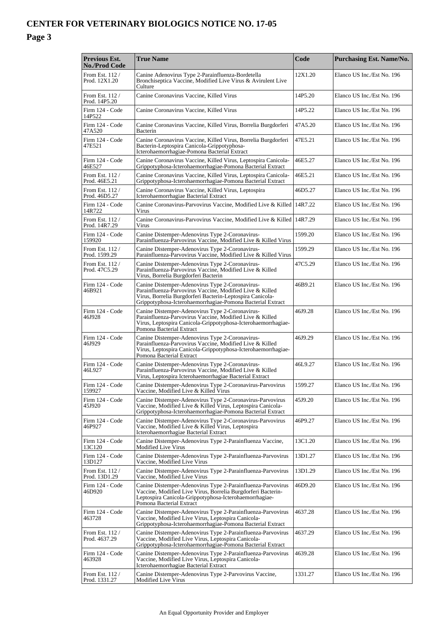#### **Previous Est. No./Prod Code True Name Code Purchasing Est. Name/No. Purchasing Est. Name/No.** From Est. 112 / Prod. 12X1.20 Canine Adenovirus Type 2-Parainfluenza-Bordetella Bronchiseptica Vaccine, Modified Live Virus & Avirulent Live Culture 12X1.20 Elanco US Inc./Est No. 196 From Est. 112 / Prod. 14P5.20 Canine Coronavirus Vaccine, Killed Virus 14P5.20 Elanco US Inc./Est No. 196 Firm 124 - Code 14P522 Canine Coronavirus Vaccine, Killed Virus 14P5.22 Elanco US Inc./Est No. 196 Firm 124 - Code 47A520 Canine Coronavirus Vaccine, Killed Virus, Borrelia Burgdorferi Bacterin 47A5.20 Elanco US Inc./Est No. 196 Firm 124 - Code 47E521 Canine Coronavirus Vaccine, Killed Virus, Borrelia Burgdorferi Bacterin-Leptospira Canicola-Grippotyphosa-Icterohaemorrhagiae-Pomona Bacterial Extract 47E5.21 Elanco US Inc./Est No. 196 Firm 124 - Code 46E527 Canine Coronavirus Vaccine, Killed Virus, Leptospira Canicola-Grippotyphosa-Icterohaemorrhagiae-Pomona Bacterial Extract 46E5.27 Elanco US Inc./Est No. 196 From Est. 112 / Prod. 46E5.21 Canine Coronavirus Vaccine, Killed Virus, Leptospira Canicola-Grippotyphosa-Icterohaemorrhagiae-Pomona Bacterial Extract 46E5.21 Elanco US Inc./Est No. 196 From Est. 112 / Prod. 46D5.27 Canine Coronavirus Vaccine, Killed Virus, Leptospira Icterohaemorrhagiae Bacterial Extract 46D5.27 Elanco US Inc./Est No. 196 Firm 124 - Code 14R722 Canine Coronavirus-Parvovirus Vaccine, Modified Live & Killed Virus 14R7.22 Elanco US Inc./Est No. 196 From Est. 112 / Prod. 14R7.29 Canine Coronavirus-Parvovirus Vaccine, Modified Live & Killed Virus 14R7.29 Elanco US Inc./Est No. 196 Firm 124 - Code 159920 Canine Distemper-Adenovirus Type 2-Coronavirus-Parainfluenza-Parvovirus Vaccine, Modified Live & Killed Virus 1599.20 Elanco US Inc./Est No. 196 From Est. 112 / Prod. 1599.29 Canine Distemper-Adenovirus Type 2-Coronavirus-Parainfluenza-Parvovirus Vaccine, Modified Live & Killed Virus 1599.29 Elanco US Inc./Est No. 196 From Est. 112 / Prod. 47C5.29 Canine Distemper-Adenovirus Type 2-Coronavirus-Parainfluenza-Parvovirus Vaccine, Modified Live & Killed Virus, Borrelia Burgdorferi Bacterin 47C5.29 Elanco US Inc./Est No. 196 Firm 124 - Code 46B921 Canine Distemper-Adenovirus Type 2-Coronavirus-Parainfluenza-Parvovirus Vaccine, Modified Live & Killed Virus, Borrelia Burgdorferi Bacterin-Leptospira Canicola-Grippotyphosa-Icterohaemorrhagiae-Pomona Bacterial Extract 46B9.21 Elanco US Inc./Est No. 196 Firm 124 - Code 46J928 Canine Distemper-Adenovirus Type 2-Coronavirus-Parainfluenza-Parvovirus Vaccine, Modified Live & Killed Virus, Leptospira Canicola-Grippotyphosa-Icterohaemorrhagiae-Pomona Bacterial Extract 46J9.28 Elanco US Inc./Est No. 196 Firm 124 - Code 46J929 Canine Distemper-Adenovirus Type 2-Coronavirus-Parainfluenza-Parvovirus Vaccine, Modified Live & Killed Virus, Leptospira Canicola-Grippotyphosa-Icterohaemorrhagiae-Pomona Bacterial Extrac 46J9.29 Elanco US Inc./Est No. 196 Firm 124 - Code 46L927 Canine Distemper-Adenovirus Type 2-Coronavirus-Parainfluenza-Parvovirus Vaccine, Modified Live & Killed Virus, Leptospira Icterohaemorrhagiae Bacterial Extract 46L9.27 Elanco US Inc./Est No. 196 Firm 124 - Code 159927 Canine Distemper-Adenovirus Type 2-Coronavirus-Parvovirus Vaccine, Modified Live & Killed Virus 1599.27 Elanco US Inc./Est No. 196 Firm 124 - Code 45J920 Canine Distemper-Adenovirus Type 2-Coronavirus-Parvovirus Vaccine, Modified Live & Killed Virus, Leptospira Canicola-Grippotyphosa-Icterohaemorrhagiae-Pomona Bacterial Extract 45J9.20 Elanco US Inc./Est No. 196 Firm 124 - Code 46P927 Canine Distemper-Adenovirus Type 2-Coronavirus-Parvovirus Vaccine, Modified Live & Killed Virus, Leptospira Icterohaemorrhagiae Bacterial Extract 46P9.27 Elanco US Inc./Est No. 196 Firm 124 - Code 13C120 Canine Distemper-Adenovirus Type 2-Parainfluenza Vaccine, Modified Live Virus 13C1.20 Elanco US Inc./Est No. 196 Firm 124 - Code 13D127 Canine Distemper-Adenovirus Type 2-Parainfluenza-Parvovirus Vaccine, Modified Live Virus 13D1.27 Elanco US Inc./Est No. 196 From Est. 112 / Prod. 13D1.29 Canine Distemper-Adenovirus Type 2-Parainfluenza-Parvovirus Vaccine, Modified Live Virus 13D1.29 Elanco US Inc./Est No. 196 Firm 124 - Code 46D920 Canine Distemper-Adenovirus Type 2-Parainfluenza-Parvovirus Vaccine, Modified Live Virus, Borrelia Burgdorferi Bacterin-Leptospira Canicola-Grippotyphosa-Icterohaemorrhagiae-Pomona Bacterial Extract 46D9.20 Elanco US Inc./Est No. 196 Firm 124 - Code 463728 Canine Distemper-Adenovirus Type 2-Parainfluenza-Parvovirus Vaccine, Modified Live Virus, Leptospira Canicola-Grippotyphosa-Icterohaemorrhagiae-Pomona Bacterial Extract 4637.28 Elanco US Inc./Est No. 196 From Est. 112 / Prod. 4637.29 Canine Distemper-Adenovirus Type 2-Parainfluenza-Parvovirus Vaccine, Modified Live Virus, Leptospira Canicola-Grippotyphosa-Icterohaemorrhagiae-Pomona Bacterial Extract 4637.29 Elanco US Inc./Est No. 196 Firm 124 - Code 463928 Canine Distemper-Adenovirus Type 2-Parainfluenza-Parvovirus Vaccine, Modified Live Virus, Leptospira Canicola-Icterohaemorrhagiae Bacterial Extract 4639.28 Elanco US Inc./Est No. 196 From Est. 112/ Canine Distemper-Adenovirus Type 2-Parvovirus Vaccine, 1331.27 Elanco US Inc./Est No. 196

Modified Live Virus

Prod. 1331.27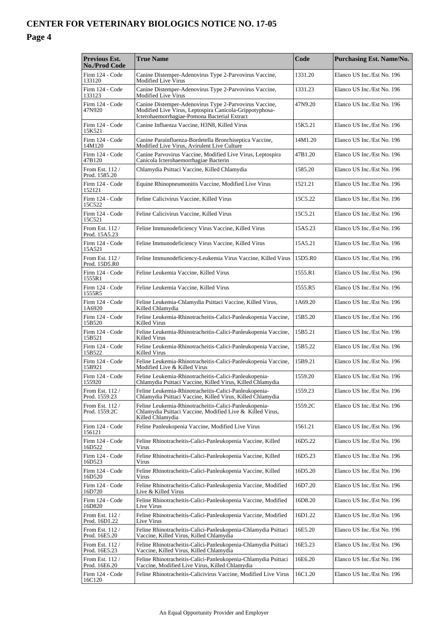#### **Previous Est. No./Prod Code True Name Code Purchasing Est. Name/No. Purchasing Est. Name/No.** Firm 124 - Code 133120 Canine Distemper-Adenovirus Type 2-Parvovirus Vaccine, Modified Live Virus 1331.20 Elanco US Inc./Est No. 196 Firm 124 - Code 133123 Canine Distemper-Adenovirus Type 2-Parvovirus Vaccine, Modified Live Virus 1331.23 Elanco US Inc./Est No. 196 Firm 124 - Code 47N920 Canine Distemper-Adenovirus Type 2-Parvovirus Vaccine, Modified Live Virus, Leptospira Canicola-Grippotyphosa-Icterohaemorrhagiae-Pomona Bacterial Extract 47N9.20 Elanco US Inc./Est No. 196 Firm 124 - Code 15K521 Canine Influenza Vaccine, H3N8, Killed Virus 15K5.21 Elanco US Inc./Est No. 196 Firm 124 - Code 14M120 Canine Parainfluenza-Bordetella Bronchiseptica Vaccine, Modified Live Virus, Avirulent Live Culture 14M1.20 Elanco US Inc./Est No. 196 Firm 124 - Code 47B120 Canine Parvovirus Vaccine, Modified Live Virus, Leptospira Canicola Icterohaemorrhagiae Bacterin 47B1.20 Elanco US Inc./Est No. 196 From Est. 112 / Prod. 1585.20 Chlamydia Psittaci Vaccine, Killed Chlamydia 1585.20 Elanco US Inc./Est No. 196 Firm 124 - Code 152121 Equine Rhinopneumonitis Vaccine, Modified Live Virus 1521.21 Elanco US Inc./Est No. 196 Firm 124 - Code 15C522 Feline Calicivirus Vaccine, Killed Virus 15C5.22 Elanco US Inc./Est No. 196 Firm 124 - Code 15C521 Feline Calicivirus Vaccine, Killed Virus 15C5.21 Elanco US Inc./Est No. 196 From Est. 112 / Prod. 15A5.23 Feline Immunodeficiency Virus Vaccine, Killed Virus 15A5.23 Elanco US Inc./Est No. 196 Firm 124 - Code 15A521 Feline Immunodeficiency Virus Vaccine, Killed Virus 15A5.21 Elanco US Inc./Est No. 196 From Est.  $112/$ Prod. 15D5.R0 Feline Immunodeficiency-Leukemia Virus Vaccine, Killed Virus 15D5.R0 Elanco US Inc./Est No. 196 Firm 124 - Code 1555R1 Feline Leukemia Vaccine, Killed Virus 1555.R1 Elanco US Inc./Est No. 196 Firm 124 - Code 1555R5 Feline Leukemia Vaccine, Killed Virus 1555.R5 Elanco US Inc./Est No. 196 Firm 124 - Code 1A6920 Feline Leukemia-Chlamydia Psittaci Vaccine, Killed Virus, Killed Chlamydia 1A69.20 Elanco US Inc./Est No. 196 Firm 124 - Code 15B520 Feline Leukemia-Rhinotracheitis-Calici-Panleukopenia Vaccine, Killed Virus 15B5.20 Elanco US Inc./Est No. 196 Firm 124 - Code 15B521 Feline Leukemia-Rhinotracheitis-Calici-Panleukopenia Vaccine, Killed Virus 15B5.21 Elanco US Inc./Est No. 196 Firm 124 - Code 15B522 Feline Leukemia-Rhinotracheitis-Calici-Panleukopenia Vaccine, Killed Virus 15B5.22 Elanco US Inc./Est No. 196 Firm 124 - Code 15B921 Feline Leukemia-Rhinotracheitis-Calici-Panleukopenia Vaccine, Modified Live & Killed Virus 15B9.21 Elanco US Inc./Est No. 196 Firm 124 - Code 155920 Feline Leukemia-Rhinotracheitis-Calici-Panleukopenia-Chlamydia Psittaci Vaccine, Killed Virus, Killed Chlamydia 1559.20 Elanco US Inc./Est No. 196 From Est. 112 / Prod. 1559.23 Feline Leukemia-Rhinotracheitis-Calici-Panleukopenia-Chlamydia Psittaci Vaccine, Killed Virus, Killed Chlamydia 1559.23 Elanco US Inc./Est No. 196 From Est. 112 / Prod. 1559.2C Feline Leukemia-Rhinotracheitis-Calici-Panleukopenia-Chlamydia Psittaci Vaccine, Modified Live & Killed Virus, Killed Chlamydia 1559.2C Elanco US Inc./Est No. 196 Firm 124 - Code 156121 Feline Panleukopenia Vaccine, Modified Live Virus 1561.21 Elanco US Inc./Est No. 196 Firm 124 - Code 16D522 Feline Rhinotracheitis-Calici-Panleukopenia Vaccine, Killed Virus 16D5.22 Elanco US Inc./Est No. 196 Firm 124 - Code 16D523 Feline Rhinotracheitis-Calici-Panleukopenia Vaccine, Killed Virus 16D5.23 Elanco US Inc./Est No. 196 Firm 124 - Code 16D520 Feline Rhinotracheitis-Calici-Panleukopenia Vaccine, Killed Virus 16D5.20 Elanco US Inc./Est No. 196 Firm 124 - Code 16D720 Feline Rhinotracheitis-Calici-Panleukopenia Vaccine, Modified Live & Killed Virus 16D7.20 Elanco US Inc./Est No. 196 Firm 124 - Code 16D820 Feline Rhinotracheitis-Calici-Panleukopenia Vaccine, Modified Live Virus 16D8.20 Elanco US Inc./Est No. 196 From Est. 112 / Prod. 16D1.22 Feline Rhinotracheitis-Calici-Panleukopenia Vaccine, Modified Live Virus 16D1.22 Elanco US Inc./Est No. 196 From Est. 112 / Prod. 16E5.20 Feline Rhinotracheitis-Calici-Panleukopenia-Chlamydia Psittaci Vaccine, Killed Virus, Killed Chlamydia 16E5.20 Elanco US Inc./Est No. 196 From Est. 112 / Prod. 16E5.23 Feline Rhinotracheitis-Calici-Panleukopenia-Chlamydia Psittaci Vaccine, Killed Virus, Killed Chlamydia 16E5.23 Elanco US Inc./Est No. 196 From Est. 112 / Prod. 16E6.20 Feline Rhinotracheitis-Calici-Panleukopenia-Chlamydia Psittaci Vaccine, Modified Live Virus, Killed Chlamydia 16E6.20 Elanco US Inc./Est No. 196 Firm 124 - Code Feline Rhinotracheitis-Calicivirus Vaccine, Modified Live Virus 16C1.20 Elanco US Inc./Est No. 196

16C120